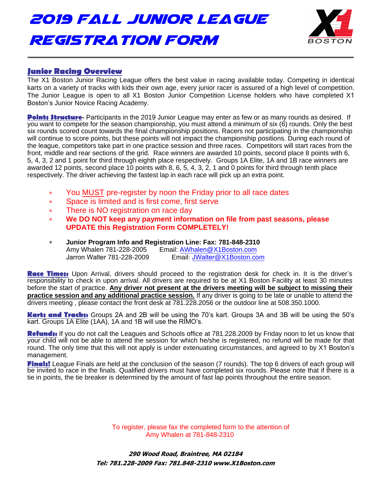2019 Fall Junior League Registration Form



# **Junior Racing Overview**

The X1 Boston Junior Racing League offers the best value in racing available today. Competing in identical karts on a variety of tracks with kids their own age, every junior racer is assured of a high level of competition. The Junior League is open to all X1 Boston Junior Competition License holders who have completed X1 Boston's Junior Novice Racing Academy.

**Points Structure** - Participants in the 2019 Junior League may enter as few or as many rounds as desired. If you want to compete for the season championship, you must attend a minimum of six (6) rounds. Only the best six rounds scored count towards the final championship positions. Racers not participating in the championship will continue to score points, but these points will not impact the championship positions. During each round of the league, competitors take part in one practice session and three races. Competitors will start races from the front, middle and rear sections of the grid. Race winners are awarded 10 points, second place 8 points with 6, 5, 4, 3, 2 and 1 point for third through eighth place respectively. Groups 1A Elite, 1A and 1B race winners are awarded 12 points, second place 10 points with 8, 6, 5, 4, 3, 2, 1 and 0 points for third through tenth place respectively. The driver achieving the fastest lap in each race will pick up an extra point.

- × You MUST pre-register by noon the Friday prior to all race dates
- $\ast$ Space is limited and is first come, first serve
- $\ast$ There is NO registration on race day
- $\ast$ **We DO NOT keep any payment information on file from past seasons, please UPDATE this Registration Form COMPLETELY!**
- $\ast$ **Junior Program Info and Registration Line: Fax: 781-848-2310** Amy Whalen 781-228-2005 Email: [AWhalen@X1Boston.com](mailto:AWhalen@X1Boston.com)  Jarron Walter 781-228-2009 Email: JWalter[@X1Bosto](mailto:MRoy@X1Boston.com)[n.com](mailto: JWalter@X1Boston.com)

**Race Times:** Upon Arrival, drivers should proceed to the registration desk for check in. It is the driver's responsibility to check in upon arrival. All drivers are required to be at X1 Boston Facility at least 30 minutes before the start of practice. **Any driver not present at the drivers meeting will be subject to missing their practice session and any additional practice session.** If any driver is going to be late or unable to attend the drivers meeting , please contact the front desk at 781.228.2056 or the outdoor line at 508.350.1000.

**Karts and Tracks:** Groups 2A and 2B will be using the 70's kart. Groups 3A and 3B will be using the 50's kart. Groups 1A Elite (1AA), 1A and 1B will use the RIMO's.

**Refunds:** If you do not call the Leagues and Schools office at 781.228.2009 by Friday noon to let us know that your child will not be able to attend the session for which he/she is registered, no refund will be made for that round. The only time that this will not apply is under extenuating circumstances, and agreed to by X1 Boston's management.

**Finals!** League Finals are held at the conclusion of the season (7 rounds). The top 6 drivers of each group will be invited to race in the finals. Qualified drivers must have completed six rounds. Please note that if there is a tie in points, the tie breaker is determined by the amount of fast lap points throughout the entire season.

> To register, please fax the completed form to the attention of Amy Whalen at 781-848-2310